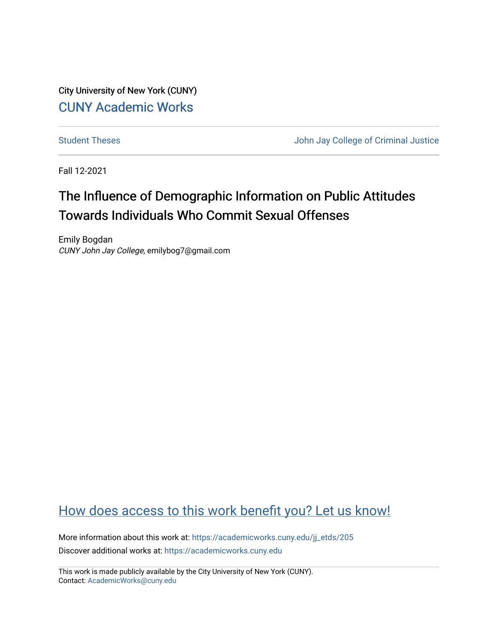City University of New York (CUNY) [CUNY Academic Works](https://academicworks.cuny.edu/) 

[Student Theses](https://academicworks.cuny.edu/jj_etds) **Student Theses** John Jay College of Criminal Justice

Fall 12-2021

# The Influence of Demographic Information on Public Attitudes Towards Individuals Who Commit Sexual Offenses

Emily Bogdan CUNY John Jay College, emilybog7@gmail.com

## [How does access to this work benefit you? Let us know!](http://ols.cuny.edu/academicworks/?ref=https://academicworks.cuny.edu/jj_etds/205)

More information about this work at: [https://academicworks.cuny.edu/jj\\_etds/205](https://academicworks.cuny.edu/jj_etds/205)  Discover additional works at: [https://academicworks.cuny.edu](https://academicworks.cuny.edu/?)

This work is made publicly available by the City University of New York (CUNY). Contact: [AcademicWorks@cuny.edu](mailto:AcademicWorks@cuny.edu)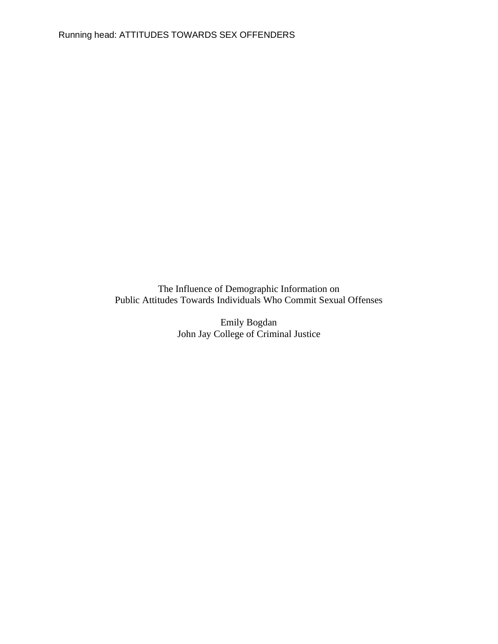The Influence of Demographic Information on Public Attitudes Towards Individuals Who Commit Sexual Offenses

> Emily Bogdan John Jay College of Criminal Justice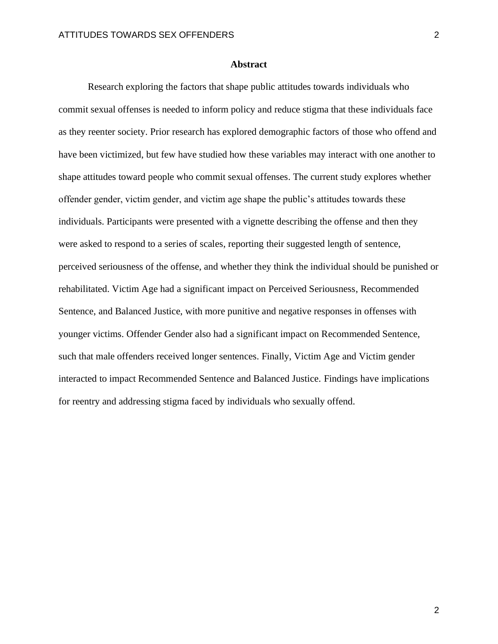#### **Abstract**

Research exploring the factors that shape public attitudes towards individuals who commit sexual offenses is needed to inform policy and reduce stigma that these individuals face as they reenter society. Prior research has explored demographic factors of those who offend and have been victimized, but few have studied how these variables may interact with one another to shape attitudes toward people who commit sexual offenses. The current study explores whether offender gender, victim gender, and victim age shape the public's attitudes towards these individuals. Participants were presented with a vignette describing the offense and then they were asked to respond to a series of scales, reporting their suggested length of sentence, perceived seriousness of the offense, and whether they think the individual should be punished or rehabilitated. Victim Age had a significant impact on Perceived Seriousness, Recommended Sentence, and Balanced Justice, with more punitive and negative responses in offenses with younger victims. Offender Gender also had a significant impact on Recommended Sentence, such that male offenders received longer sentences. Finally, Victim Age and Victim gender interacted to impact Recommended Sentence and Balanced Justice. Findings have implications for reentry and addressing stigma faced by individuals who sexually offend.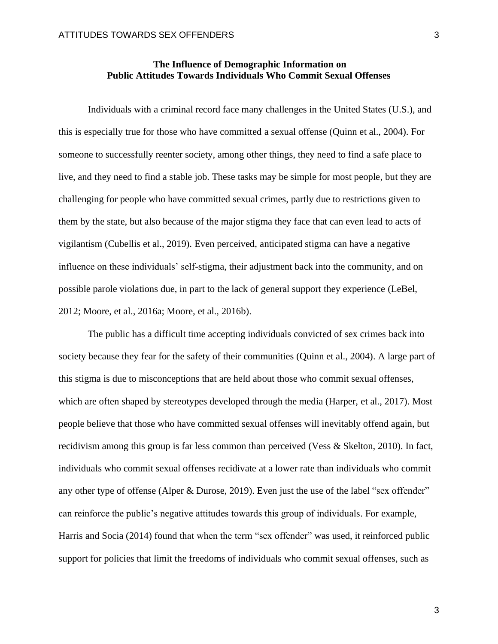Individuals with a criminal record face many challenges in the United States (U.S.), and this is especially true for those who have committed a sexual offense (Quinn et al., 2004). For someone to successfully reenter society, among other things, they need to find a safe place to live, and they need to find a stable job. These tasks may be simple for most people, but they are challenging for people who have committed sexual crimes, partly due to restrictions given to them by the state, but also because of the major stigma they face that can even lead to acts of vigilantism (Cubellis et al., 2019). Even perceived, anticipated stigma can have a negative influence on these individuals' self-stigma, their adjustment back into the community, and on possible parole violations due, in part to the lack of general support they experience (LeBel, 2012; Moore, et al., 2016a; Moore, et al., 2016b).

The public has a difficult time accepting individuals convicted of sex crimes back into society because they fear for the safety of their communities (Quinn et al., 2004). A large part of this stigma is due to misconceptions that are held about those who commit sexual offenses, which are often shaped by stereotypes developed through the media (Harper, et al., 2017). Most people believe that those who have committed sexual offenses will inevitably offend again, but recidivism among this group is far less common than perceived (Vess & Skelton, 2010). In fact, individuals who commit sexual offenses recidivate at a lower rate than individuals who commit any other type of offense (Alper & Durose, 2019). Even just the use of the label "sex offender" can reinforce the public's negative attitudes towards this group of individuals. For example, Harris and Socia (2014) found that when the term "sex offender" was used, it reinforced public support for policies that limit the freedoms of individuals who commit sexual offenses, such as

3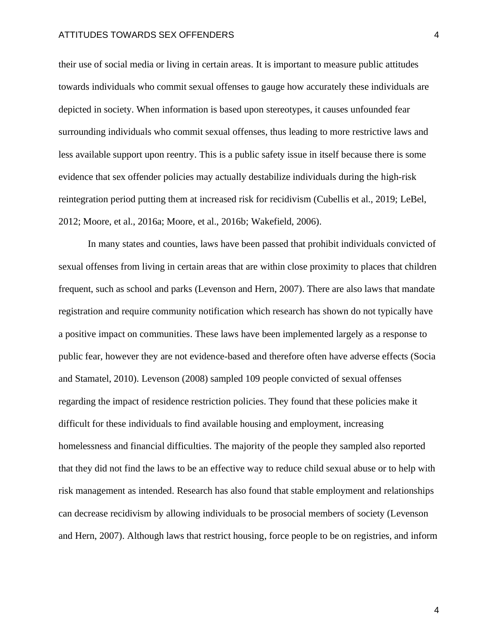their use of social media or living in certain areas. It is important to measure public attitudes towards individuals who commit sexual offenses to gauge how accurately these individuals are depicted in society. When information is based upon stereotypes, it causes unfounded fear surrounding individuals who commit sexual offenses, thus leading to more restrictive laws and less available support upon reentry. This is a public safety issue in itself because there is some evidence that sex offender policies may actually destabilize individuals during the high-risk reintegration period putting them at increased risk for recidivism (Cubellis et al., 2019; LeBel, 2012; Moore, et al., 2016a; Moore, et al., 2016b; Wakefield, 2006).

In many states and counties, laws have been passed that prohibit individuals convicted of sexual offenses from living in certain areas that are within close proximity to places that children frequent, such as school and parks (Levenson and Hern, 2007). There are also laws that mandate registration and require community notification which research has shown do not typically have a positive impact on communities. These laws have been implemented largely as a response to public fear, however they are not evidence-based and therefore often have adverse effects (Socia and Stamatel, 2010). Levenson (2008) sampled 109 people convicted of sexual offenses regarding the impact of residence restriction policies. They found that these policies make it difficult for these individuals to find available housing and employment, increasing homelessness and financial difficulties. The majority of the people they sampled also reported that they did not find the laws to be an effective way to reduce child sexual abuse or to help with risk management as intended. Research has also found that stable employment and relationships can decrease recidivism by allowing individuals to be prosocial members of society (Levenson and Hern, 2007). Although laws that restrict housing, force people to be on registries, and inform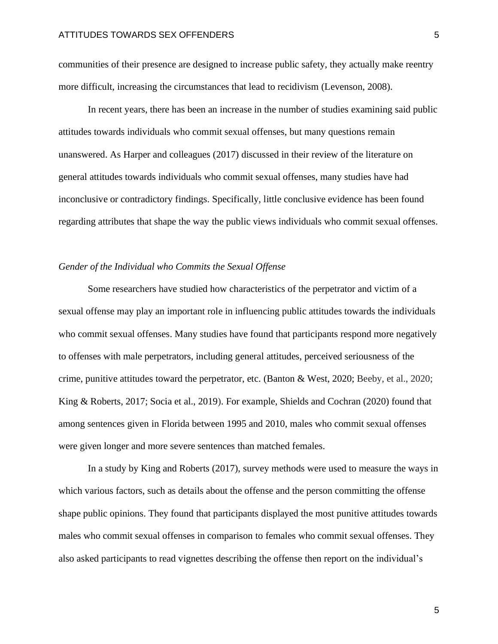communities of their presence are designed to increase public safety, they actually make reentry more difficult, increasing the circumstances that lead to recidivism (Levenson, 2008).

In recent years, there has been an increase in the number of studies examining said public attitudes towards individuals who commit sexual offenses, but many questions remain unanswered. As Harper and colleagues (2017) discussed in their review of the literature on general attitudes towards individuals who commit sexual offenses, many studies have had inconclusive or contradictory findings. Specifically, little conclusive evidence has been found regarding attributes that shape the way the public views individuals who commit sexual offenses.

## *Gender of the Individual who Commits the Sexual Offense*

Some researchers have studied how characteristics of the perpetrator and victim of a sexual offense may play an important role in influencing public attitudes towards the individuals who commit sexual offenses. Many studies have found that participants respond more negatively to offenses with male perpetrators, including general attitudes, perceived seriousness of the crime, punitive attitudes toward the perpetrator, etc. (Banton & West, 2020; Beeby, et al., 2020; King & Roberts, 2017; Socia et al., 2019). For example, Shields and Cochran (2020) found that among sentences given in Florida between 1995 and 2010, males who commit sexual offenses were given longer and more severe sentences than matched females.

In a study by King and Roberts (2017), survey methods were used to measure the ways in which various factors, such as details about the offense and the person committing the offense shape public opinions. They found that participants displayed the most punitive attitudes towards males who commit sexual offenses in comparison to females who commit sexual offenses. They also asked participants to read vignettes describing the offense then report on the individual's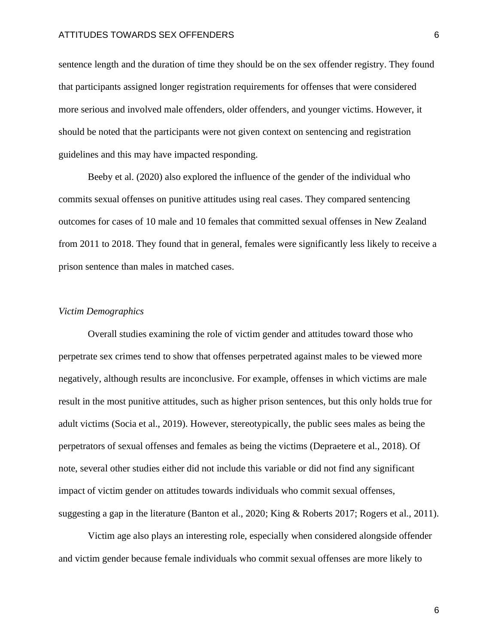sentence length and the duration of time they should be on the sex offender registry. They found that participants assigned longer registration requirements for offenses that were considered more serious and involved male offenders, older offenders, and younger victims. However, it should be noted that the participants were not given context on sentencing and registration guidelines and this may have impacted responding.

Beeby et al. (2020) also explored the influence of the gender of the individual who commits sexual offenses on punitive attitudes using real cases. They compared sentencing outcomes for cases of 10 male and 10 females that committed sexual offenses in New Zealand from 2011 to 2018. They found that in general, females were significantly less likely to receive a prison sentence than males in matched cases.

## *Victim Demographics*

Overall studies examining the role of victim gender and attitudes toward those who perpetrate sex crimes tend to show that offenses perpetrated against males to be viewed more negatively, although results are inconclusive. For example, offenses in which victims are male result in the most punitive attitudes, such as higher prison sentences, but this only holds true for adult victims (Socia et al., 2019). However, stereotypically, the public sees males as being the perpetrators of sexual offenses and females as being the victims (Depraetere et al., 2018). Of note, several other studies either did not include this variable or did not find any significant impact of victim gender on attitudes towards individuals who commit sexual offenses, suggesting a gap in the literature (Banton et al., 2020; King & Roberts 2017; Rogers et al., 2011).

Victim age also plays an interesting role, especially when considered alongside offender and victim gender because female individuals who commit sexual offenses are more likely to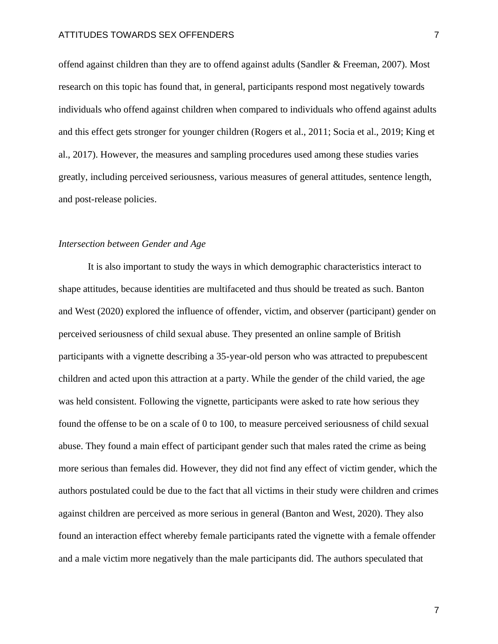offend against children than they are to offend against adults (Sandler & Freeman, 2007). Most research on this topic has found that, in general, participants respond most negatively towards individuals who offend against children when compared to individuals who offend against adults and this effect gets stronger for younger children (Rogers et al., 2011; Socia et al., 2019; King et al., 2017). However, the measures and sampling procedures used among these studies varies greatly, including perceived seriousness, various measures of general attitudes, sentence length, and post-release policies.

#### *Intersection between Gender and Age*

It is also important to study the ways in which demographic characteristics interact to shape attitudes, because identities are multifaceted and thus should be treated as such. Banton and West (2020) explored the influence of offender, victim, and observer (participant) gender on perceived seriousness of child sexual abuse. They presented an online sample of British participants with a vignette describing a 35-year-old person who was attracted to prepubescent children and acted upon this attraction at a party. While the gender of the child varied, the age was held consistent. Following the vignette, participants were asked to rate how serious they found the offense to be on a scale of 0 to 100, to measure perceived seriousness of child sexual abuse. They found a main effect of participant gender such that males rated the crime as being more serious than females did. However, they did not find any effect of victim gender, which the authors postulated could be due to the fact that all victims in their study were children and crimes against children are perceived as more serious in general (Banton and West, 2020). They also found an interaction effect whereby female participants rated the vignette with a female offender and a male victim more negatively than the male participants did. The authors speculated that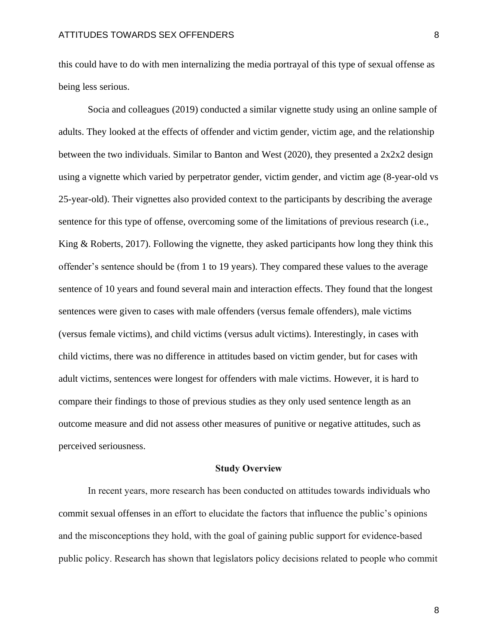this could have to do with men internalizing the media portrayal of this type of sexual offense as being less serious.

Socia and colleagues (2019) conducted a similar vignette study using an online sample of adults. They looked at the effects of offender and victim gender, victim age, and the relationship between the two individuals. Similar to Banton and West (2020), they presented a  $2x2x2$  design using a vignette which varied by perpetrator gender, victim gender, and victim age (8-year-old vs 25-year-old). Their vignettes also provided context to the participants by describing the average sentence for this type of offense, overcoming some of the limitations of previous research (i.e., King & Roberts, 2017). Following the vignette, they asked participants how long they think this offender's sentence should be (from 1 to 19 years). They compared these values to the average sentence of 10 years and found several main and interaction effects. They found that the longest sentences were given to cases with male offenders (versus female offenders), male victims (versus female victims), and child victims (versus adult victims). Interestingly, in cases with child victims, there was no difference in attitudes based on victim gender, but for cases with adult victims, sentences were longest for offenders with male victims. However, it is hard to compare their findings to those of previous studies as they only used sentence length as an outcome measure and did not assess other measures of punitive or negative attitudes, such as perceived seriousness.

#### **Study Overview**

In recent years, more research has been conducted on attitudes towards individuals who commit sexual offenses in an effort to elucidate the factors that influence the public's opinions and the misconceptions they hold, with the goal of gaining public support for evidence-based public policy. Research has shown that legislators policy decisions related to people who commit

8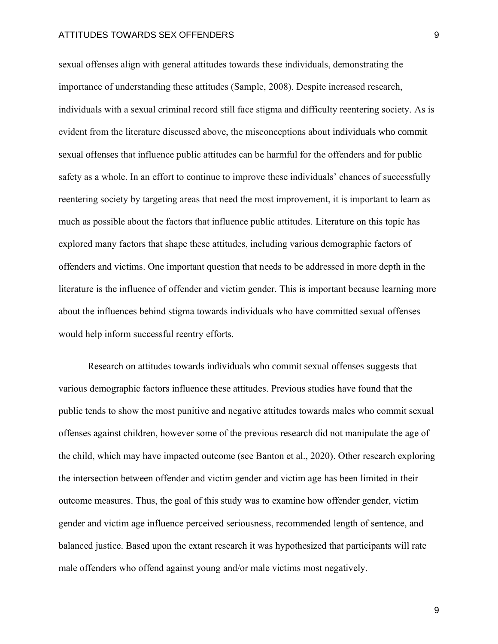sexual offenses align with general attitudes towards these individuals, demonstrating the importance of understanding these attitudes (Sample, 2008). Despite increased research, individuals with a sexual criminal record still face stigma and difficulty reentering society. As is evident from the literature discussed above, the misconceptions about individuals who commit sexual offenses that influence public attitudes can be harmful for the offenders and for public safety as a whole. In an effort to continue to improve these individuals' chances of successfully reentering society by targeting areas that need the most improvement, it is important to learn as much as possible about the factors that influence public attitudes. Literature on this topic has explored many factors that shape these attitudes, including various demographic factors of offenders and victims. One important question that needs to be addressed in more depth in the literature is the influence of offender and victim gender. This is important because learning more about the influences behind stigma towards individuals who have committed sexual offenses would help inform successful reentry efforts.

Research on attitudes towards individuals who commit sexual offenses suggests that various demographic factors influence these attitudes. Previous studies have found that the public tends to show the most punitive and negative attitudes towards males who commit sexual offenses against children, however some of the previous research did not manipulate the age of the child, which may have impacted outcome (see Banton et al., 2020). Other research exploring the intersection between offender and victim gender and victim age has been limited in their outcome measures. Thus, the goal of this study was to examine how offender gender, victim gender and victim age influence perceived seriousness, recommended length of sentence, and balanced justice. Based upon the extant research it was hypothesized that participants will rate male offenders who offend against young and/or male victims most negatively.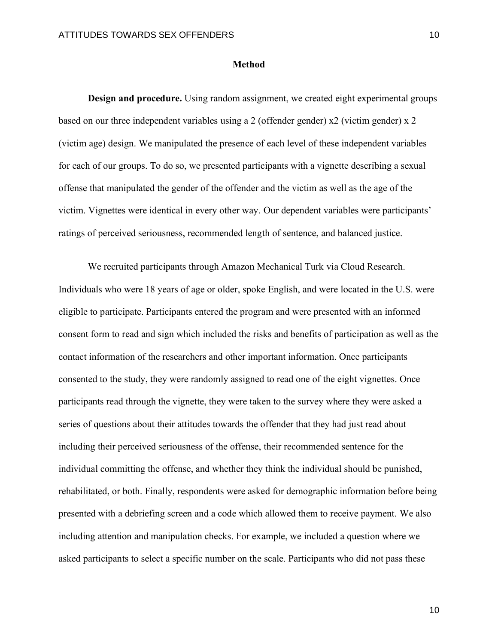#### **Method**

**Design and procedure.** Using random assignment, we created eight experimental groups based on our three independent variables using a 2 (offender gender) x2 (victim gender) x 2 (victim age) design. We manipulated the presence of each level of these independent variables for each of our groups. To do so, we presented participants with a vignette describing a sexual offense that manipulated the gender of the offender and the victim as well as the age of the victim. Vignettes were identical in every other way. Our dependent variables were participants' ratings of perceived seriousness, recommended length of sentence, and balanced justice.

We recruited participants through Amazon Mechanical Turk via Cloud Research. Individuals who were 18 years of age or older, spoke English, and were located in the U.S. were eligible to participate. Participants entered the program and were presented with an informed consent form to read and sign which included the risks and benefits of participation as well as the contact information of the researchers and other important information. Once participants consented to the study, they were randomly assigned to read one of the eight vignettes. Once participants read through the vignette, they were taken to the survey where they were asked a series of questions about their attitudes towards the offender that they had just read about including their perceived seriousness of the offense, their recommended sentence for the individual committing the offense, and whether they think the individual should be punished, rehabilitated, or both. Finally, respondents were asked for demographic information before being presented with a debriefing screen and a code which allowed them to receive payment. We also including attention and manipulation checks. For example, we included a question where we asked participants to select a specific number on the scale. Participants who did not pass these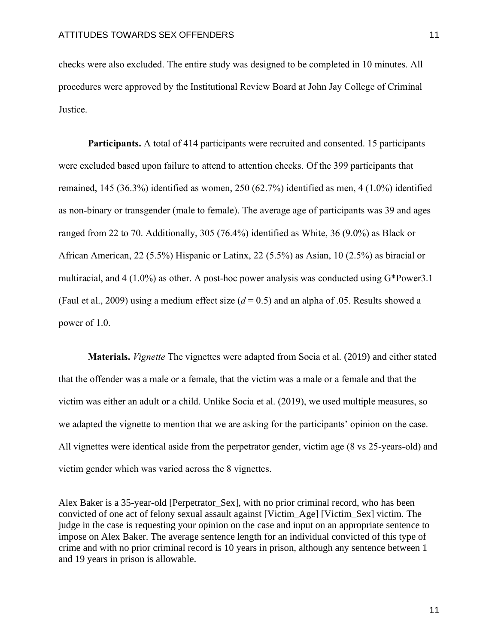checks were also excluded. The entire study was designed to be completed in 10 minutes. All procedures were approved by the Institutional Review Board at John Jay College of Criminal Justice.

**Participants.** A total of 414 participants were recruited and consented. 15 participants were excluded based upon failure to attend to attention checks. Of the 399 participants that remained, 145 (36.3%) identified as women, 250 (62.7%) identified as men, 4 (1.0%) identified as non-binary or transgender (male to female). The average age of participants was 39 and ages ranged from 22 to 70. Additionally, 305 (76.4%) identified as White, 36 (9.0%) as Black or African American, 22 (5.5%) Hispanic or Latinx, 22 (5.5%) as Asian, 10 (2.5%) as biracial or multiracial, and 4 (1.0%) as other. A post-hoc power analysis was conducted using G\*Power3.1 (Faul et al., 2009) using a medium effect size  $(d = 0.5)$  and an alpha of .05. Results showed a power of 1.0.

**Materials.** *Vignette* The vignettes were adapted from Socia et al. (2019) and either stated that the offender was a male or a female, that the victim was a male or a female and that the victim was either an adult or a child. Unlike Socia et al. (2019), we used multiple measures, so we adapted the vignette to mention that we are asking for the participants' opinion on the case. All vignettes were identical aside from the perpetrator gender, victim age (8 vs 25-years-old) and victim gender which was varied across the 8 vignettes.

Alex Baker is a 35-year-old [Perpetrator\_Sex], with no prior criminal record, who has been convicted of one act of felony sexual assault against [Victim\_Age] [Victim\_Sex] victim. The judge in the case is requesting your opinion on the case and input on an appropriate sentence to impose on Alex Baker. The average sentence length for an individual convicted of this type of crime and with no prior criminal record is 10 years in prison, although any sentence between 1 and 19 years in prison is allowable.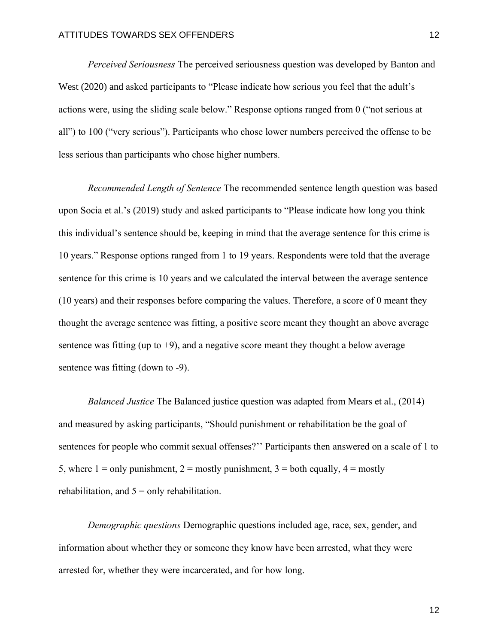*Perceived Seriousness* The perceived seriousness question was developed by Banton and West (2020) and asked participants to "Please indicate how serious you feel that the adult's actions were, using the sliding scale below." Response options ranged from 0 ("not serious at all") to 100 ("very serious"). Participants who chose lower numbers perceived the offense to be less serious than participants who chose higher numbers.

*Recommended Length of Sentence* The recommended sentence length question was based upon Socia et al.'s (2019) study and asked participants to "Please indicate how long you think this individual's sentence should be, keeping in mind that the average sentence for this crime is 10 years." Response options ranged from 1 to 19 years. Respondents were told that the average sentence for this crime is 10 years and we calculated the interval between the average sentence (10 years) and their responses before comparing the values. Therefore, a score of 0 meant they thought the average sentence was fitting, a positive score meant they thought an above average sentence was fitting (up to  $+9$ ), and a negative score meant they thought a below average sentence was fitting (down to -9).

*Balanced Justice* The Balanced justice question was adapted from Mears et al., (2014) and measured by asking participants, "Should punishment or rehabilitation be the goal of sentences for people who commit sexual offenses?'' Participants then answered on a scale of 1 to 5, where  $1 =$  only punishment,  $2 =$  mostly punishment,  $3 =$  both equally,  $4 =$  mostly rehabilitation, and  $5 =$  only rehabilitation.

*Demographic questions* Demographic questions included age, race, sex, gender, and information about whether they or someone they know have been arrested, what they were arrested for, whether they were incarcerated, and for how long.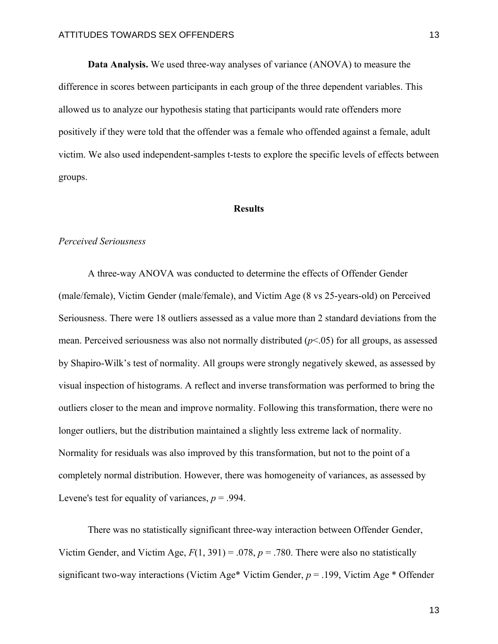**Data Analysis.** We used three-way analyses of variance (ANOVA) to measure the difference in scores between participants in each group of the three dependent variables. This allowed us to analyze our hypothesis stating that participants would rate offenders more positively if they were told that the offender was a female who offended against a female, adult victim. We also used independent-samples t-tests to explore the specific levels of effects between groups.

#### **Results**

### *Perceived Seriousness*

A three-way ANOVA was conducted to determine the effects of Offender Gender (male/female), Victim Gender (male/female), and Victim Age (8 vs 25-years-old) on Perceived Seriousness. There were 18 outliers assessed as a value more than 2 standard deviations from the mean. Perceived seriousness was also not normally distributed (*p*<.05) for all groups, as assessed by Shapiro-Wilk's test of normality. All groups were strongly negatively skewed, as assessed by visual inspection of histograms. A reflect and inverse transformation was performed to bring the outliers closer to the mean and improve normality. Following this transformation, there were no longer outliers, but the distribution maintained a slightly less extreme lack of normality. Normality for residuals was also improved by this transformation, but not to the point of a completely normal distribution. However, there was homogeneity of variances, as assessed by Levene's test for equality of variances,  $p = .994$ .

There was no statistically significant three-way interaction between Offender Gender, Victim Gender, and Victim Age,  $F(1, 391) = .078$ ,  $p = .780$ . There were also no statistically significant two-way interactions (Victim Age\* Victim Gender, *p* = .199, Victim Age \* Offender

13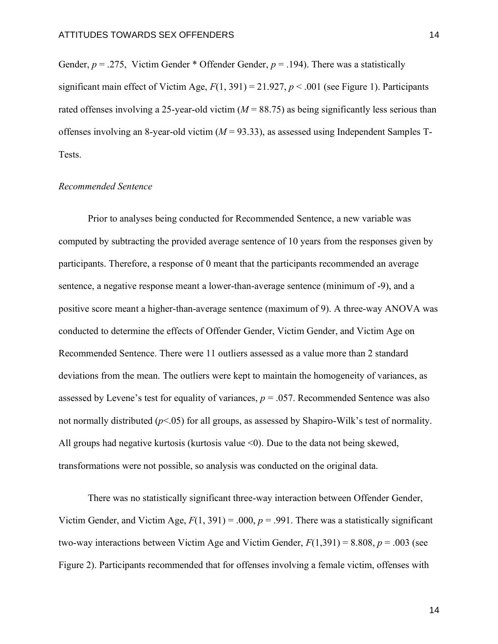Gender,  $p = .275$ , Victim Gender \* Offender Gender,  $p = .194$ ). There was a statistically significant main effect of Victim Age,  $F(1, 391) = 21.927$ ,  $p < .001$  (see Figure 1). Participants rated offenses involving a 25-year-old victim  $(M = 88.75)$  as being significantly less serious than offenses involving an 8-year-old victim (*M* = 93.33), as assessed using Independent Samples T-Tests.

#### *Recommended Sentence*

Prior to analyses being conducted for Recommended Sentence, a new variable was computed by subtracting the provided average sentence of 10 years from the responses given by participants. Therefore, a response of 0 meant that the participants recommended an average sentence, a negative response meant a lower-than-average sentence (minimum of -9), and a positive score meant a higher-than-average sentence (maximum of 9). A three-way ANOVA was conducted to determine the effects of Offender Gender, Victim Gender, and Victim Age on Recommended Sentence. There were 11 outliers assessed as a value more than 2 standard deviations from the mean. The outliers were kept to maintain the homogeneity of variances, as assessed by Levene's test for equality of variances,  $p = .057$ . Recommended Sentence was also not normally distributed (*p*<.05) for all groups, as assessed by Shapiro-Wilk's test of normality. All groups had negative kurtosis (kurtosis value  $\leq 0$ ). Due to the data not being skewed, transformations were not possible, so analysis was conducted on the original data.

There was no statistically significant three-way interaction between Offender Gender, Victim Gender, and Victim Age,  $F(1, 391) = .000$ ,  $p = .991$ . There was a statistically significant two-way interactions between Victim Age and Victim Gender, *F*(1,391) = 8.808, *p* = .003 (see Figure 2). Participants recommended that for offenses involving a female victim, offenses with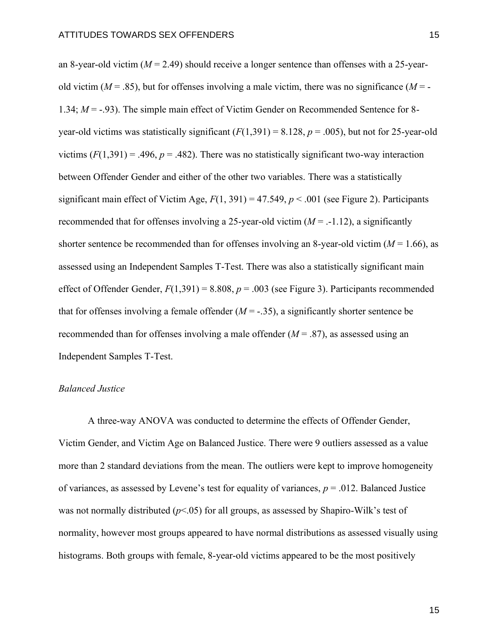an 8-year-old victim (*M* = 2.49) should receive a longer sentence than offenses with a 25-yearold victim ( $M = .85$ ), but for offenses involving a male victim, there was no significance ( $M = -$ 1.34;  $M = -0.93$ ). The simple main effect of Victim Gender on Recommended Sentence for 8year-old victims was statistically significant  $(F(1,391) = 8.128, p = .005)$ , but not for 25-year-old victims  $(F(1,391) = .496, p = .482)$ . There was no statistically significant two-way interaction between Offender Gender and either of the other two variables. There was a statistically significant main effect of Victim Age,  $F(1, 391) = 47.549$ ,  $p < .001$  (see Figure 2). Participants recommended that for offenses involving a 25-year-old victim  $(M = -1.12)$ , a significantly shorter sentence be recommended than for offenses involving an 8-year-old victim  $(M = 1.66)$ , as assessed using an Independent Samples T-Test. There was also a statistically significant main effect of Offender Gender,  $F(1,391) = 8.808$ ,  $p = .003$  (see Figure 3). Participants recommended that for offenses involving a female offender  $(M = -0.35)$ , a significantly shorter sentence be recommended than for offenses involving a male offender (*M* = .87), as assessed using an Independent Samples T-Test.

#### *Balanced Justice*

A three-way ANOVA was conducted to determine the effects of Offender Gender, Victim Gender, and Victim Age on Balanced Justice. There were 9 outliers assessed as a value more than 2 standard deviations from the mean. The outliers were kept to improve homogeneity of variances, as assessed by Levene's test for equality of variances, *p* = .012. Balanced Justice was not normally distributed  $(p<.05)$  for all groups, as assessed by Shapiro-Wilk's test of normality, however most groups appeared to have normal distributions as assessed visually using histograms. Both groups with female, 8-year-old victims appeared to be the most positively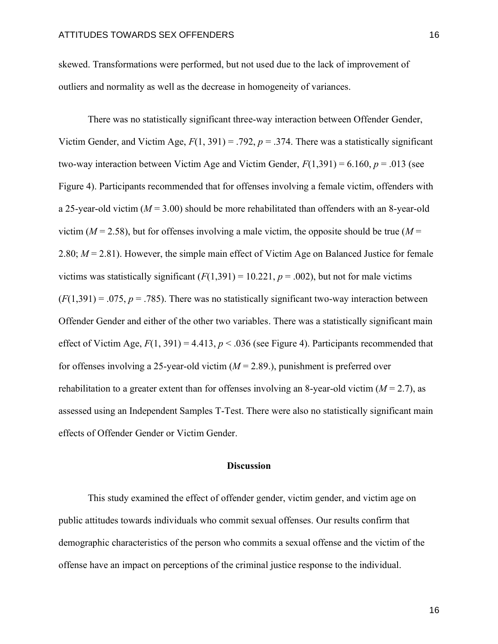skewed. Transformations were performed, but not used due to the lack of improvement of outliers and normality as well as the decrease in homogeneity of variances.

There was no statistically significant three-way interaction between Offender Gender, Victim Gender, and Victim Age,  $F(1, 391) = .792$ ,  $p = .374$ . There was a statistically significant two-way interaction between Victim Age and Victim Gender,  $F(1,391) = 6.160$ ,  $p = .013$  (see Figure 4). Participants recommended that for offenses involving a female victim, offenders with a 25-year-old victim (*M* = 3.00) should be more rehabilitated than offenders with an 8-year-old victim ( $M = 2.58$ ), but for offenses involving a male victim, the opposite should be true ( $M =$ 2.80; *M* = 2.81). However, the simple main effect of Victim Age on Balanced Justice for female victims was statistically significant  $(F(1,391) = 10.221, p = .002)$ , but not for male victims  $(F(1,391) = .075, p = .785)$ . There was no statistically significant two-way interaction between Offender Gender and either of the other two variables. There was a statistically significant main effect of Victim Age,  $F(1, 391) = 4.413$ ,  $p < .036$  (see Figure 4). Participants recommended that for offenses involving a 25-year-old victim (*M* = 2.89.), punishment is preferred over rehabilitation to a greater extent than for offenses involving an 8-year-old victim (*M* = 2.7), as assessed using an Independent Samples T-Test. There were also no statistically significant main effects of Offender Gender or Victim Gender.

#### **Discussion**

This study examined the effect of offender gender, victim gender, and victim age on public attitudes towards individuals who commit sexual offenses. Our results confirm that demographic characteristics of the person who commits a sexual offense and the victim of the offense have an impact on perceptions of the criminal justice response to the individual.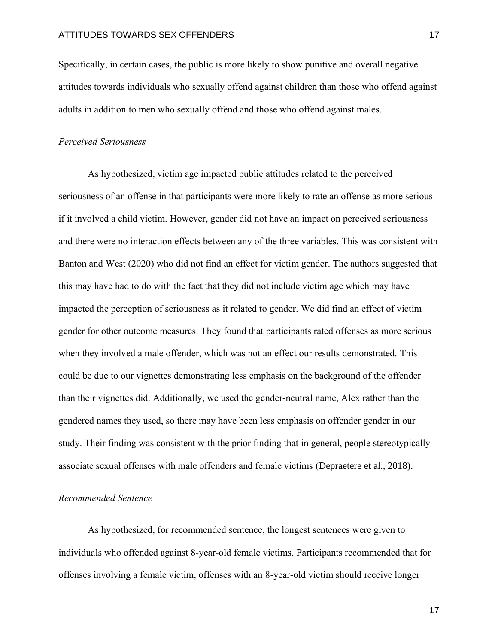Specifically, in certain cases, the public is more likely to show punitive and overall negative attitudes towards individuals who sexually offend against children than those who offend against adults in addition to men who sexually offend and those who offend against males.

#### *Perceived Seriousness*

As hypothesized, victim age impacted public attitudes related to the perceived seriousness of an offense in that participants were more likely to rate an offense as more serious if it involved a child victim. However, gender did not have an impact on perceived seriousness and there were no interaction effects between any of the three variables. This was consistent with Banton and West (2020) who did not find an effect for victim gender. The authors suggested that this may have had to do with the fact that they did not include victim age which may have impacted the perception of seriousness as it related to gender. We did find an effect of victim gender for other outcome measures. They found that participants rated offenses as more serious when they involved a male offender, which was not an effect our results demonstrated. This could be due to our vignettes demonstrating less emphasis on the background of the offender than their vignettes did. Additionally, we used the gender-neutral name, Alex rather than the gendered names they used, so there may have been less emphasis on offender gender in our study. Their finding was consistent with the prior finding that in general, people stereotypically associate sexual offenses with male offenders and female victims (Depraetere et al., 2018).

### *Recommended Sentence*

As hypothesized, for recommended sentence, the longest sentences were given to individuals who offended against 8-year-old female victims. Participants recommended that for offenses involving a female victim, offenses with an 8-year-old victim should receive longer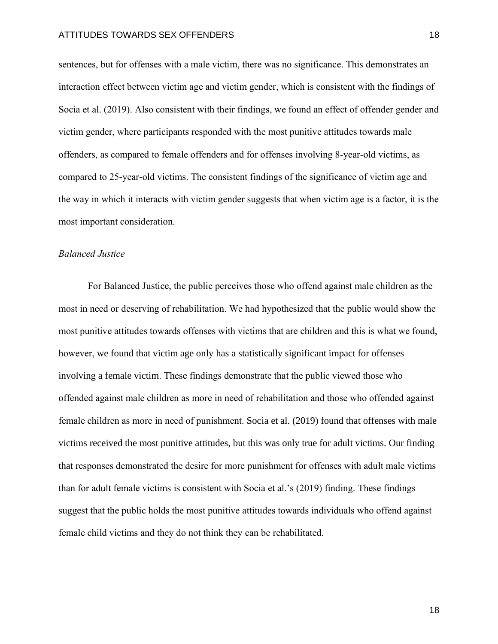sentences, but for offenses with a male victim, there was no significance. This demonstrates an interaction effect between victim age and victim gender, which is consistent with the findings of Socia et al. (2019). Also consistent with their findings, we found an effect of offender gender and victim gender, where participants responded with the most punitive attitudes towards male offenders, as compared to female offenders and for offenses involving 8-year-old victims, as compared to 25-year-old victims. The consistent findings of the significance of victim age and the way in which it interacts with victim gender suggests that when victim age is a factor, it is the most important consideration.

#### *Balanced Justice*

For Balanced Justice, the public perceives those who offend against male children as the most in need or deserving of rehabilitation. We had hypothesized that the public would show the most punitive attitudes towards offenses with victims that are children and this is what we found, however, we found that victim age only has a statistically significant impact for offenses involving a female victim. These findings demonstrate that the public viewed those who offended against male children as more in need of rehabilitation and those who offended against female children as more in need of punishment. Socia et al. (2019) found that offenses with male victims received the most punitive attitudes, but this was only true for adult victims. Our finding that responses demonstrated the desire for more punishment for offenses with adult male victims than for adult female victims is consistent with Socia et al.'s (2019) finding. These findings suggest that the public holds the most punitive attitudes towards individuals who offend against female child victims and they do not think they can be rehabilitated.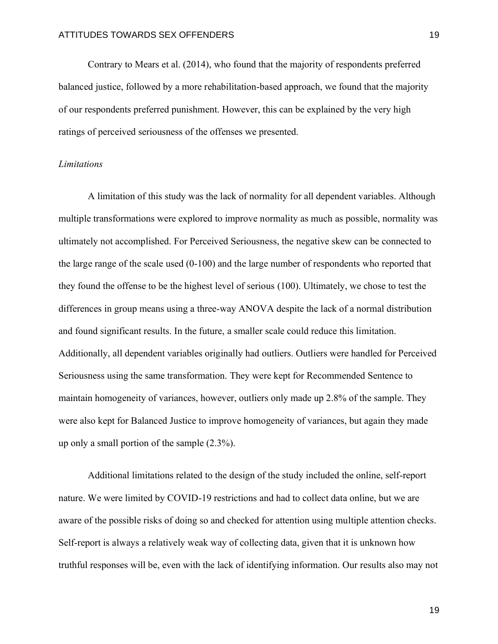Contrary to Mears et al. (2014), who found that the majority of respondents preferred balanced justice, followed by a more rehabilitation-based approach, we found that the majority of our respondents preferred punishment. However, this can be explained by the very high ratings of perceived seriousness of the offenses we presented.

#### *Limitations*

A limitation of this study was the lack of normality for all dependent variables. Although multiple transformations were explored to improve normality as much as possible, normality was ultimately not accomplished. For Perceived Seriousness, the negative skew can be connected to the large range of the scale used (0-100) and the large number of respondents who reported that they found the offense to be the highest level of serious (100). Ultimately, we chose to test the differences in group means using a three-way ANOVA despite the lack of a normal distribution and found significant results. In the future, a smaller scale could reduce this limitation. Additionally, all dependent variables originally had outliers. Outliers were handled for Perceived Seriousness using the same transformation. They were kept for Recommended Sentence to maintain homogeneity of variances, however, outliers only made up 2.8% of the sample. They were also kept for Balanced Justice to improve homogeneity of variances, but again they made up only a small portion of the sample (2.3%).

Additional limitations related to the design of the study included the online, self-report nature. We were limited by COVID-19 restrictions and had to collect data online, but we are aware of the possible risks of doing so and checked for attention using multiple attention checks. Self-report is always a relatively weak way of collecting data, given that it is unknown how truthful responses will be, even with the lack of identifying information. Our results also may not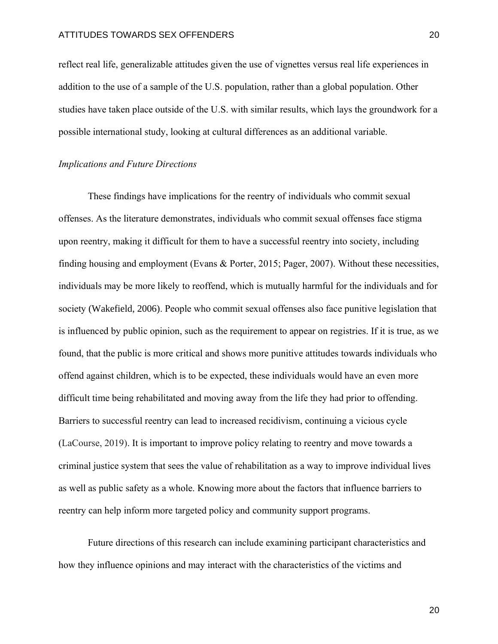reflect real life, generalizable attitudes given the use of vignettes versus real life experiences in addition to the use of a sample of the U.S. population, rather than a global population. Other studies have taken place outside of the U.S. with similar results, which lays the groundwork for a possible international study, looking at cultural differences as an additional variable.

#### *Implications and Future Directions*

These findings have implications for the reentry of individuals who commit sexual offenses. As the literature demonstrates, individuals who commit sexual offenses face stigma upon reentry, making it difficult for them to have a successful reentry into society, including finding housing and employment (Evans & Porter, 2015; Pager, 2007). Without these necessities, individuals may be more likely to reoffend, which is mutually harmful for the individuals and for society (Wakefield, 2006). People who commit sexual offenses also face punitive legislation that is influenced by public opinion, such as the requirement to appear on registries. If it is true, as we found, that the public is more critical and shows more punitive attitudes towards individuals who offend against children, which is to be expected, these individuals would have an even more difficult time being rehabilitated and moving away from the life they had prior to offending. Barriers to successful reentry can lead to increased recidivism, continuing a vicious cycle (LaCourse, 2019). It is important to improve policy relating to reentry and move towards a criminal justice system that sees the value of rehabilitation as a way to improve individual lives as well as public safety as a whole. Knowing more about the factors that influence barriers to reentry can help inform more targeted policy and community support programs.

Future directions of this research can include examining participant characteristics and how they influence opinions and may interact with the characteristics of the victims and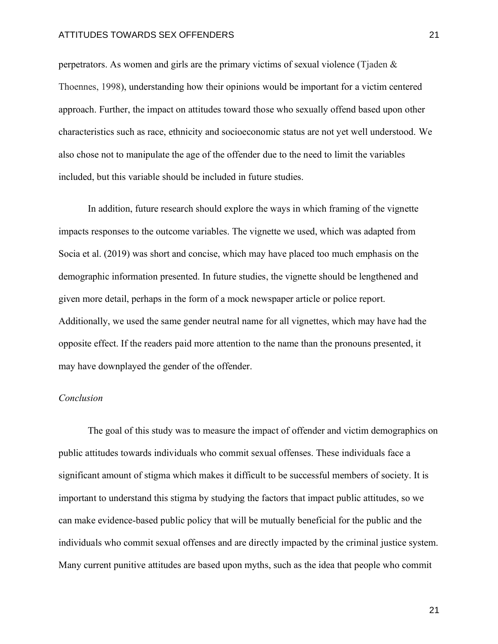perpetrators. As women and girls are the primary victims of sexual violence (Tjaden & Thoennes, 1998), understanding how their opinions would be important for a victim centered approach. Further, the impact on attitudes toward those who sexually offend based upon other characteristics such as race, ethnicity and socioeconomic status are not yet well understood. We also chose not to manipulate the age of the offender due to the need to limit the variables included, but this variable should be included in future studies.

In addition, future research should explore the ways in which framing of the vignette impacts responses to the outcome variables. The vignette we used, which was adapted from Socia et al. (2019) was short and concise, which may have placed too much emphasis on the demographic information presented. In future studies, the vignette should be lengthened and given more detail, perhaps in the form of a mock newspaper article or police report. Additionally, we used the same gender neutral name for all vignettes, which may have had the opposite effect. If the readers paid more attention to the name than the pronouns presented, it may have downplayed the gender of the offender.

#### *Conclusion*

The goal of this study was to measure the impact of offender and victim demographics on public attitudes towards individuals who commit sexual offenses. These individuals face a significant amount of stigma which makes it difficult to be successful members of society. It is important to understand this stigma by studying the factors that impact public attitudes, so we can make evidence-based public policy that will be mutually beneficial for the public and the individuals who commit sexual offenses and are directly impacted by the criminal justice system. Many current punitive attitudes are based upon myths, such as the idea that people who commit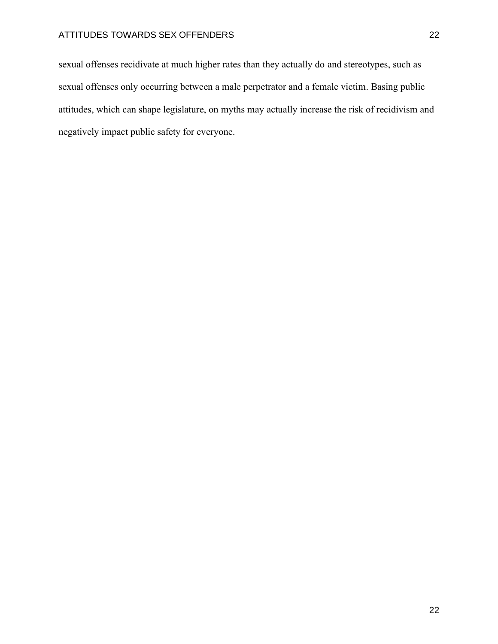sexual offenses recidivate at much higher rates than they actually do and stereotypes, such as sexual offenses only occurring between a male perpetrator and a female victim. Basing public attitudes, which can shape legislature, on myths may actually increase the risk of recidivism and negatively impact public safety for everyone.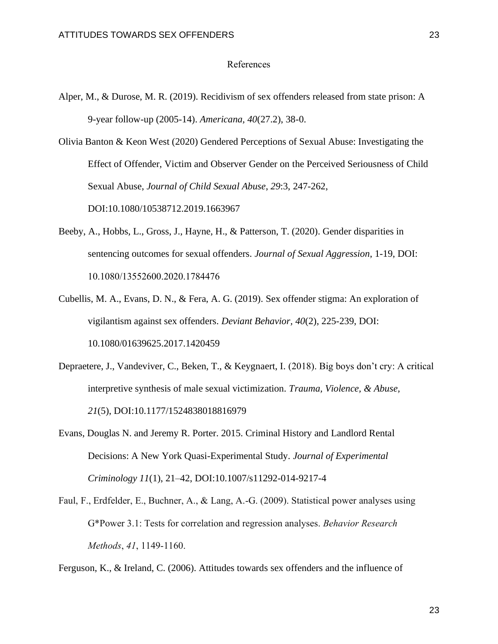#### References

Alper, M., & Durose, M. R. (2019). Recidivism of sex offenders released from state prison: A 9-year follow-up (2005-14). *Americana, 40*(27.2), 38-0.

Olivia Banton & Keon West (2020) Gendered Perceptions of Sexual Abuse: Investigating the Effect of Offender, Victim and Observer Gender on the Perceived Seriousness of Child Sexual Abuse, *Journal of Child Sexual Abuse*, *29*:3, 247-262, DOI:10.1080/10538712.2019.1663967

- Beeby, A., Hobbs, L., Gross, J., Hayne, H., & Patterson, T. (2020). Gender disparities in sentencing outcomes for sexual offenders. *Journal of Sexual Aggression*, 1-19, DOI: 10.1080/13552600.2020.1784476
- Cubellis, M. A., Evans, D. N., & Fera, A. G. (2019). Sex offender stigma: An exploration of vigilantism against sex offenders. *Deviant Behavior, 40*(2), 225-239, DOI: 10.1080/01639625.2017.1420459
- Depraetere, J., Vandeviver, C., Beken, T., & Keygnaert, I. (2018). Big boys don't cry: A critical interpretive synthesis of male sexual victimization. *Trauma, Violence, & Abuse, 21*(5), DOI:10.1177/1524838018816979
- Evans, Douglas N. and Jeremy R. Porter. 2015. Criminal History and Landlord Rental Decisions: A New York Quasi-Experimental Study. *Journal of Experimental Criminology 11*(1), 21–42, DOI:10.1007/s11292-014-9217-4
- Faul, F., Erdfelder, E., Buchner, A., & Lang, A.-G. (2009). Statistical power analyses using G\*Power 3.1: Tests for correlation and regression analyses. *Behavior Research Methods*, *41*, 1149-1160.

Ferguson, K., & Ireland, C. (2006). Attitudes towards sex offenders and the influence of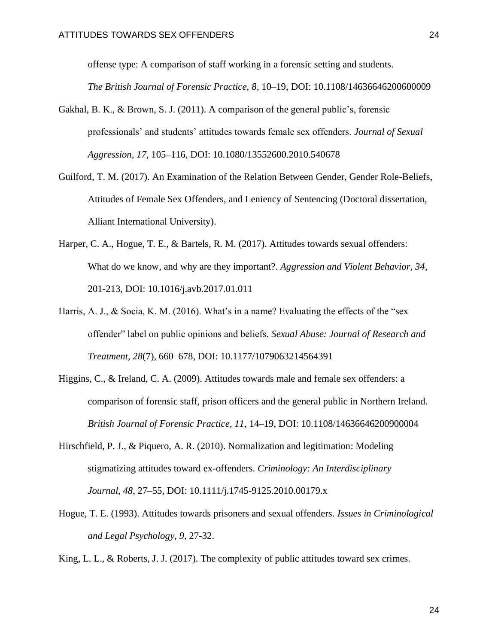offense type: A comparison of staff working in a forensic setting and students.

*The British Journal of Forensic Practice, 8*, 10–19, DOI: 10.1108/14636646200600009

- Gakhal, B. K., & Brown, S. J. (2011). A comparison of the general public's, forensic professionals' and students' attitudes towards female sex offenders. *Journal of Sexual Aggression, 17*, 105–116, DOI: 10.1080/13552600.2010.540678
- Guilford, T. M. (2017). An Examination of the Relation Between Gender, Gender Role-Beliefs, Attitudes of Female Sex Offenders, and Leniency of Sentencing (Doctoral dissertation, Alliant International University).
- Harper, C. A., Hogue, T. E., & Bartels, R. M. (2017). Attitudes towards sexual offenders: What do we know, and why are they important?. *Aggression and Violent Behavior, 34*, 201-213, DOI: 10.1016/j.avb.2017.01.011
- Harris, A. J., & Socia, K. M. (2016). What's in a name? Evaluating the effects of the "sex offender" label on public opinions and beliefs. *Sexual Abuse: Journal of Research and Treatment, 28*(7), 660–678, DOI: 10.1177/1079063214564391
- Higgins, C., & Ireland, C. A. (2009). Attitudes towards male and female sex offenders: a comparison of forensic staff, prison officers and the general public in Northern Ireland. *British Journal of Forensic Practice, 11*, 14–19, DOI: 10.1108/14636646200900004
- Hirschfield, P. J., & Piquero, A. R. (2010). Normalization and legitimation: Modeling stigmatizing attitudes toward ex-offenders. *Criminology: An Interdisciplinary Journal, 48*, 27–55, DOI: 10.1111/j.1745-9125.2010.00179.x
- Hogue, T. E. (1993). Attitudes towards prisoners and sexual offenders. *Issues in Criminological and Legal Psychology, 9*, 27-32.
- King, L. L., & Roberts, J. J. (2017). The complexity of public attitudes toward sex crimes.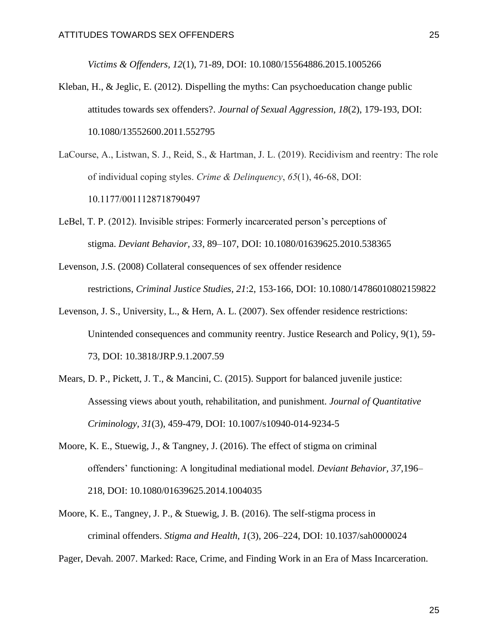*Victims & Offenders, 12*(1), 71-89, DOI: 10.1080/15564886.2015.1005266

- Kleban, H., & Jeglic, E. (2012). Dispelling the myths: Can psychoeducation change public attitudes towards sex offenders?. *Journal of Sexual Aggression, 18*(2), 179-193, DOI: 10.1080/13552600.2011.552795
- LaCourse, A., Listwan, S. J., Reid, S., & Hartman, J. L. (2019). Recidivism and reentry: The role of individual coping styles. *Crime & Delinquency*, *65*(1), 46-68, DOI: 10.1177/0011128718790497
- LeBel, T. P. (2012). Invisible stripes: Formerly incarcerated person's perceptions of stigma. *Deviant Behavior, 33*, 89–107, DOI: 10.1080/01639625.2010.538365
- Levenson, J.S. (2008) Collateral consequences of sex offender residence restrictions, *Criminal Justice Studies, 21*:2, 153-166, DOI: 10.1080/14786010802159822
- Levenson, J. S., University, L., & Hern, A. L. (2007). Sex offender residence restrictions: Unintended consequences and community reentry. Justice Research and Policy, 9(1), 59- 73, DOI: 10.3818/JRP.9.1.2007.59
- Mears, D. P., Pickett, J. T., & Mancini, C. (2015). Support for balanced juvenile justice: Assessing views about youth, rehabilitation, and punishment. *Journal of Quantitative Criminology, 31*(3), 459-479, DOI: 10.1007/s10940-014-9234-5
- Moore, K. E., Stuewig, J., & Tangney, J. (2016). The effect of stigma on criminal offenders' functioning: A longitudinal mediational model. *Deviant Behavior, 37*,196– 218, DOI: 10.1080/01639625.2014.1004035
- Moore, K. E., Tangney, J. P., & Stuewig, J. B. (2016). The self-stigma process in criminal offenders. *Stigma and Health, 1*(3), 206–224, DOI: 10.1037/sah0000024

Pager, Devah. 2007. Marked: Race, Crime, and Finding Work in an Era of Mass Incarceration.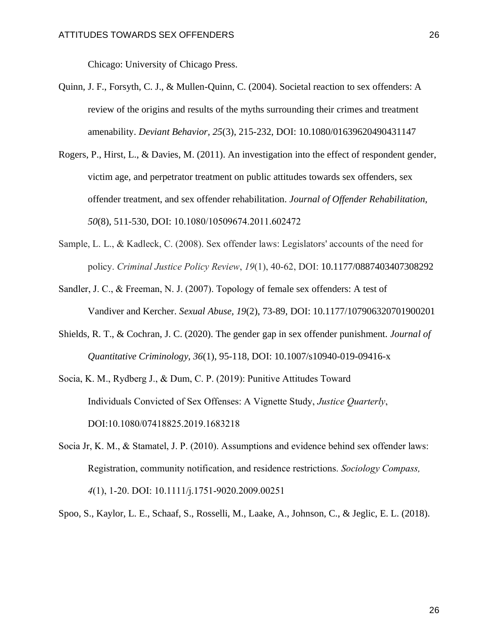Chicago: University of Chicago Press.

- Quinn, J. F., Forsyth, C. J., & Mullen-Quinn, C. (2004). Societal reaction to sex offenders: A review of the origins and results of the myths surrounding their crimes and treatment amenability. *Deviant Behavior, 25*(3), 215-232, DOI: 10.1080/01639620490431147
- Rogers, P., Hirst, L., & Davies, M. (2011). An investigation into the effect of respondent gender, victim age, and perpetrator treatment on public attitudes towards sex offenders, sex offender treatment, and sex offender rehabilitation. *Journal of Offender Rehabilitation, 50*(8), 511-530, DOI: 10.1080/10509674.2011.602472
- Sample, L. L., & Kadleck, C. (2008). Sex offender laws: Legislators' accounts of the need for policy. *Criminal Justice Policy Review*, *19*(1), 40-62, DOI: 10.1177/0887403407308292
- Sandler, J. C., & Freeman, N. J. (2007). Topology of female sex offenders: A test of Vandiver and Kercher. *Sexual Abuse, 19*(2), 73-89, DOI: 10.1177/107906320701900201
- Shields, R. T., & Cochran, J. C. (2020). The gender gap in sex offender punishment. *Journal of Quantitative Criminology, 36*(1), 95-118, DOI: 10.1007/s10940-019-09416-x
- Socia, K. M., Rydberg J., & Dum, C. P. (2019): Punitive Attitudes Toward Individuals Convicted of Sex Offenses: A Vignette Study, *Justice Quarterly*, DOI:10.1080/07418825.2019.1683218
- Socia Jr, K. M., & Stamatel, J. P. (2010). Assumptions and evidence behind sex offender laws: Registration, community notification, and residence restrictions. *Sociology Compass, 4*(1), 1-20. DOI: 10.1111/j.1751-9020.2009.00251

Spoo, S., Kaylor, L. E., Schaaf, S., Rosselli, M., Laake, A., Johnson, C., & Jeglic, E. L. (2018).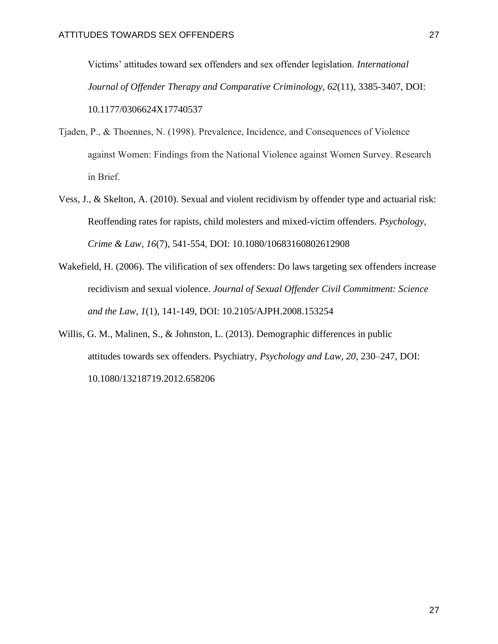Victims' attitudes toward sex offenders and sex offender legislation. *International Journal of Offender Therapy and Comparative Criminology, 62*(11), 3385-3407, DOI: 10.1177/0306624X17740537

- Tjaden, P., & Thoennes, N. (1998). Prevalence, Incidence, and Consequences of Violence against Women: Findings from the National Violence against Women Survey. Research in Brief.
- Vess, J., & Skelton, A. (2010). Sexual and violent recidivism by offender type and actuarial risk: Reoffending rates for rapists, child molesters and mixed-victim offenders. *Psychology, Crime & Law, 16*(7), 541-554, DOI: 10.1080/10683160802612908
- Wakefield, H. (2006). The vilification of sex offenders: Do laws targeting sex offenders increase recidivism and sexual violence. *Journal of Sexual Offender Civil Commitment: Science and the Law, 1*(1), 141-149, DOI: 10.2105/AJPH.2008.153254
- Willis, G. M., Malinen, S., & Johnston, L. (2013). Demographic differences in public attitudes towards sex offenders. Psychiatry, *Psychology and Law, 20*, 230–247, DOI: 10.1080/13218719.2012.658206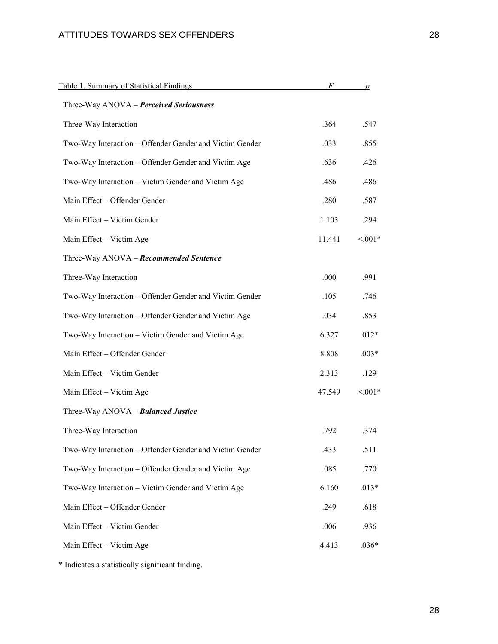| Table 1. Summary of Statistical Findings                | F      | $\boldsymbol{p}$ |
|---------------------------------------------------------|--------|------------------|
| Three-Way ANOVA - Perceived Seriousness                 |        |                  |
| Three-Way Interaction                                   | .364   | .547             |
| Two-Way Interaction - Offender Gender and Victim Gender | .033   | .855             |
| Two-Way Interaction - Offender Gender and Victim Age    | .636   | .426             |
| Two-Way Interaction – Victim Gender and Victim Age      | .486   | .486             |
| Main Effect - Offender Gender                           | .280   | .587             |
| Main Effect - Victim Gender                             | 1.103  | .294             |
| Main Effect - Victim Age                                | 11.441 | $< 0.01*$        |
| Three-Way ANOVA - Recommended Sentence                  |        |                  |
| Three-Way Interaction                                   | .000   | .991             |
| Two-Way Interaction - Offender Gender and Victim Gender | .105   | .746             |
| Two-Way Interaction - Offender Gender and Victim Age    | .034   | .853             |
| Two-Way Interaction - Victim Gender and Victim Age      | 6.327  | $.012*$          |
| Main Effect - Offender Gender                           | 8.808  | $.003*$          |
| Main Effect - Victim Gender                             | 2.313  | .129             |
| Main Effect - Victim Age                                | 47.549 | $< 0.01*$        |
| Three-Way ANOVA - Balanced Justice                      |        |                  |
| Three-Way Interaction                                   | .792   | .374             |
| Two-Way Interaction - Offender Gender and Victim Gender | .433   | .511             |
| Two-Way Interaction - Offender Gender and Victim Age    | .085   | .770             |
| Two-Way Interaction - Victim Gender and Victim Age      | 6.160  | $.013*$          |
| Main Effect - Offender Gender                           | .249   | .618             |
| Main Effect - Victim Gender                             | .006   | .936             |
| Main Effect - Victim Age                                | 4.413  | $.036*$          |

\* Indicates a statistically significant finding.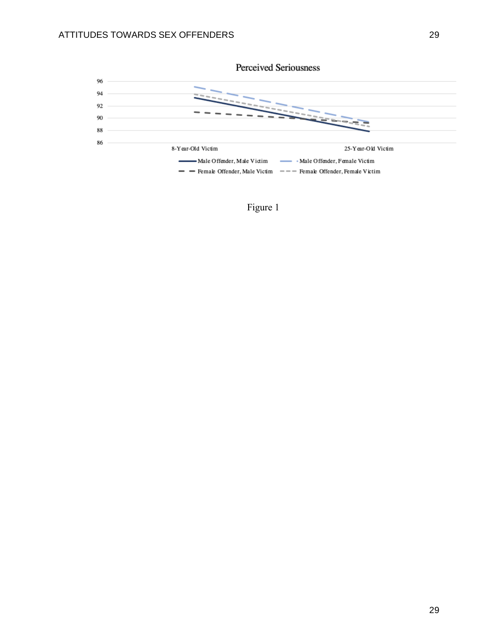

Perceived Seriousness

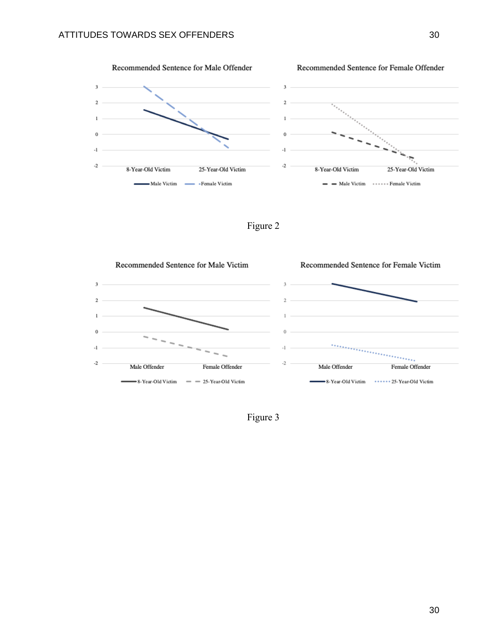

Figure 2



Figure 3